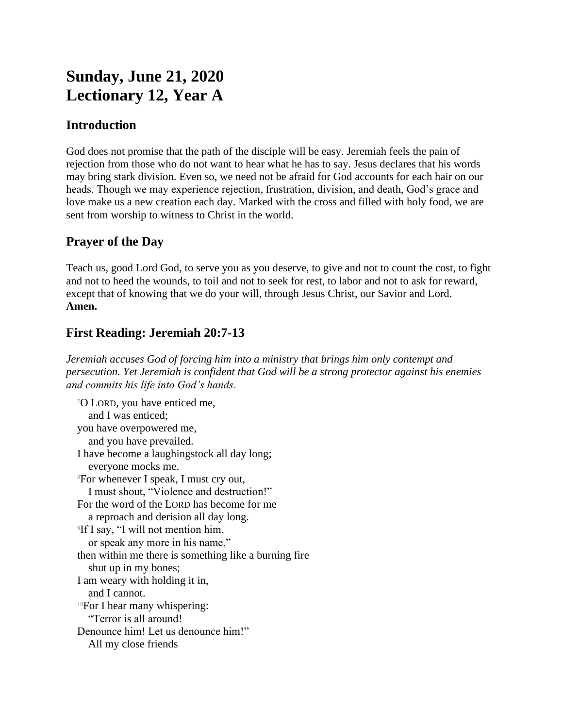# **Sunday, June 21, 2020 Lectionary 12, Year A**

### **Introduction**

God does not promise that the path of the disciple will be easy. Jeremiah feels the pain of rejection from those who do not want to hear what he has to say. Jesus declares that his words may bring stark division. Even so, we need not be afraid for God accounts for each hair on our heads. Though we may experience rejection, frustration, division, and death, God's grace and love make us a new creation each day. Marked with the cross and filled with holy food, we are sent from worship to witness to Christ in the world.

## **Prayer of the Day**

Teach us, good Lord God, to serve you as you deserve, to give and not to count the cost, to fight and not to heed the wounds, to toil and not to seek for rest, to labor and not to ask for reward, except that of knowing that we do your will, through Jesus Christ, our Savior and Lord. **Amen.**

# **First Reading: Jeremiah 20:7-13**

*Jeremiah accuses God of forcing him into a ministry that brings him only contempt and persecution. Yet Jeremiah is confident that God will be a strong protector against his enemies and commits his life into God's hands.*

<sup>7</sup>O LORD, you have enticed me, and I was enticed; you have overpowered me, and you have prevailed. I have become a laughingstock all day long; everyone mocks me. <sup>8</sup>For whenever I speak, I must cry out, I must shout, "Violence and destruction!" For the word of the LORD has become for me a reproach and derision all day long. 9 If I say, "I will not mention him, or speak any more in his name," then within me there is something like a burning fire shut up in my bones; I am weary with holding it in, and I cannot. <sup>10</sup>For I hear many whispering: "Terror is all around! Denounce him! Let us denounce him!" All my close friends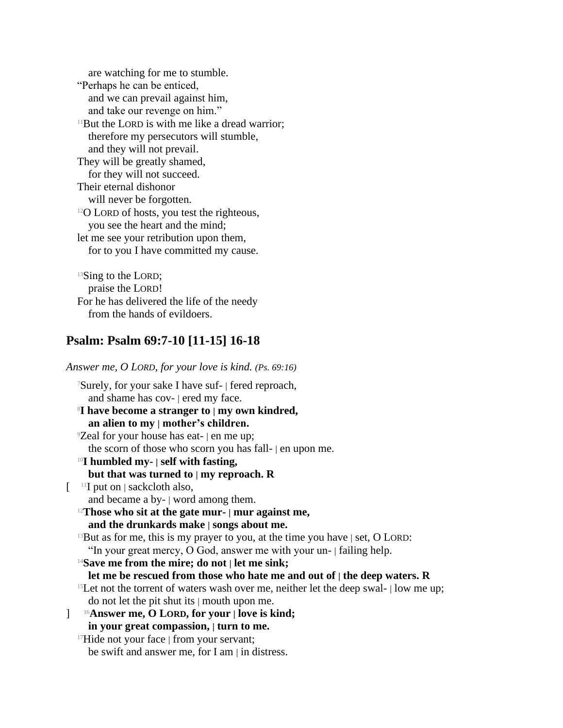are watching for me to stumble. "Perhaps he can be enticed, and we can prevail against him, and take our revenge on him."  $11$ But the LORD is with me like a dread warrior; therefore my persecutors will stumble, and they will not prevail. They will be greatly shamed, for they will not succeed. Their eternal dishonor will never be forgotten. <sup>12</sup>O LORD of hosts, you test the righteous, you see the heart and the mind; let me see your retribution upon them, for to you I have committed my cause.

<sup>13</sup>Sing to the LORD; praise the LORD! For he has delivered the life of the needy from the hands of evildoers.

### **Psalm: Psalm 69:7-10 [11-15] 16-18**

*Answer me, O LORD, for your love is kind. (Ps. 69:16)* <sup>7</sup>Surely, for your sake I have suf- | fered reproach, and shame has cov- | ered my face. <sup>8</sup>**I have become a stranger to | my own kindred, an alien to my | mother's children.** <sup>9</sup>Zeal for your house has eat- | en me up; the scorn of those who scorn you has fall- | en upon me. <sup>10</sup>**I humbled my- | self with fasting, but that was turned to | my reproach. R**  $\left[ \begin{array}{c} \n\frac{11}{11} & \text{put on } | \text{ sackcloth also,} \n\end{array} \right]$ and became a by- | word among them. <sup>12</sup>**Those who sit at the gate mur- | mur against me, and the drunkards make | songs about me.**  $13$ But as for me, this is my prayer to you, at the time you have  $|$  set, O LORD: "In your great mercy, O God, answer me with your un- | failing help. <sup>14</sup>**Save me from the mire; do not | let me sink; let me be rescued from those who hate me and out of | the deep waters. R** <sup>15</sup>Let not the torrent of waters wash over me, neither let the deep swal-  $\vert$  low me up; do not let the pit shut its | mouth upon me. ] 16**Answer me, O LORD, for your | love is kind; in your great compassion, | turn to me.** <sup>17</sup>Hide not your face | from your servant; be swift and answer me, for I am | in distress.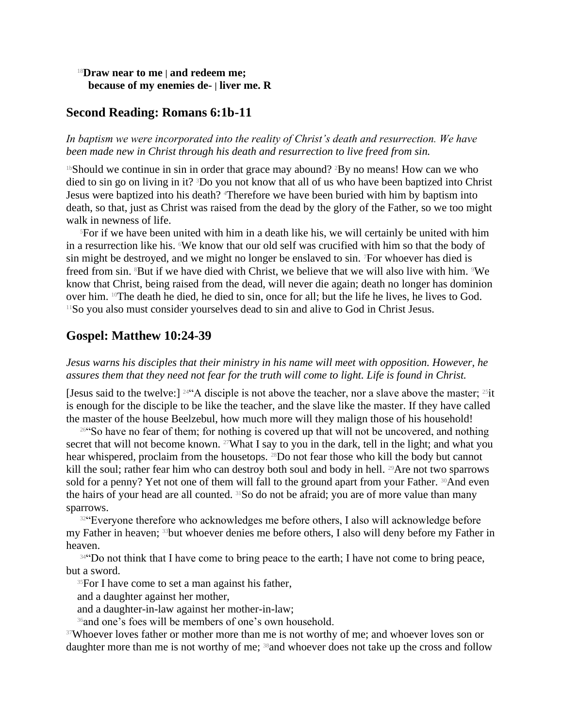#### <sup>18</sup>**Draw near to me | and redeem me; because of my enemies de- | liver me. R**

#### **Second Reading: Romans 6:1b-11**

*In baptism we were incorporated into the reality of Christ's death and resurrection. We have been made new in Christ through his death and resurrection to live freed from sin.*

<sup>1b</sup>Should we continue in sin in order that grace may abound? <sup>2</sup>By no means! How can we who died to sin go on living in it? 3Do you not know that all of us who have been baptized into Christ Jesus were baptized into his death? 4Therefore we have been buried with him by baptism into death, so that, just as Christ was raised from the dead by the glory of the Father, so we too might walk in newness of life.

 $5$ For if we have been united with him in a death like his, we will certainly be united with him in a resurrection like his. We know that our old self was crucified with him so that the body of sin might be destroyed, and we might no longer be enslaved to sin. 7For whoever has died is freed from sin. 8But if we have died with Christ, we believe that we will also live with him. 9We know that Christ, being raised from the dead, will never die again; death no longer has dominion over him. 10The death he died, he died to sin, once for all; but the life he lives, he lives to God. <sup>11</sup>So you also must consider yourselves dead to sin and alive to God in Christ Jesus.

#### **Gospel: Matthew 10:24-39**

*Jesus warns his disciples that their ministry in his name will meet with opposition. However, he assures them that they need not fear for the truth will come to light. Life is found in Christ.*

[Jesus said to the twelve:]  $244$ <sup>24</sup> A disciple is not above the teacher, nor a slave above the master;  $25$ it is enough for the disciple to be like the teacher, and the slave like the master. If they have called the master of the house Beelzebul, how much more will they malign those of his household!

<sup>26"</sup>So have no fear of them; for nothing is covered up that will not be uncovered, and nothing secret that will not become known. <sup>27</sup>What I say to you in the dark, tell in the light; and what you hear whispered, proclaim from the housetops. <sup>28</sup>Do not fear those who kill the body but cannot kill the soul; rather fear him who can destroy both soul and body in hell. <sup>29</sup>Are not two sparrows sold for a penny? Yet not one of them will fall to the ground apart from your Father. 30And even the hairs of your head are all counted. 31So do not be afraid; you are of more value than many sparrows.

<sup>32</sup> Everyone therefore who acknowledges me before others, I also will acknowledge before my Father in heaven; 33but whoever denies me before others, I also will deny before my Father in heaven.

34"Do not think that I have come to bring peace to the earth; I have not come to bring peace, but a sword.

<sup>35</sup>For I have come to set a man against his father,

and a daughter against her mother,

and a daughter-in-law against her mother-in-law;

<sup>36</sup>and one's foes will be members of one's own household.

<sup>37</sup>Whoever loves father or mother more than me is not worthy of me; and whoever loves son or daughter more than me is not worthy of me; <sup>38</sup>and whoever does not take up the cross and follow